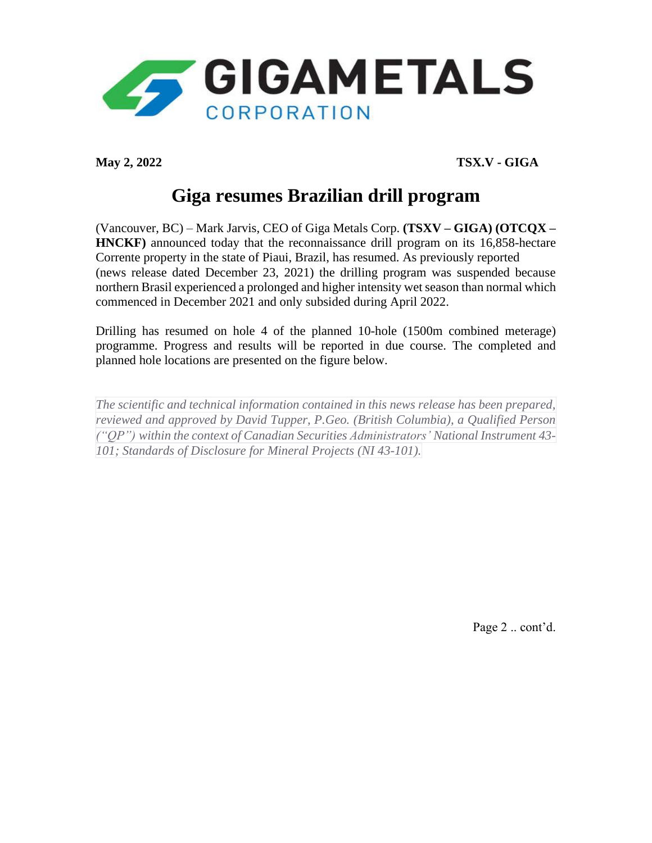

**May 2, 2022 TSX.V - GIGA**

## **Giga resumes Brazilian drill program**

(Vancouver, BC) – Mark Jarvis, CEO of Giga Metals Corp. **(TSXV – GIGA) (OTCQX – HNCKF)** announced today that the reconnaissance drill program on its 16,858-hectare Corrente property in the state of Piaui, Brazil, has resumed. As previously reported (news release dated December 23, 2021) the drilling program was suspended because northern Brasil experienced a prolonged and higher intensity wet season than normal which commenced in December 2021 and only subsided during April 2022.

Drilling has resumed on hole 4 of the planned 10-hole (1500m combined meterage) programme. Progress and results will be reported in due course. The completed and planned hole locations are presented on the figure below.

*The scientific and technical information contained in this news release has been prepared, reviewed and approved by David Tupper, P.Geo. (British Columbia), a Qualified Person ("QP") within the context of Canadian Securities Administrators' National Instrument 43- 101; Standards of Disclosure for Mineral Projects (NI 43-101).*

Page 2 .. cont'd.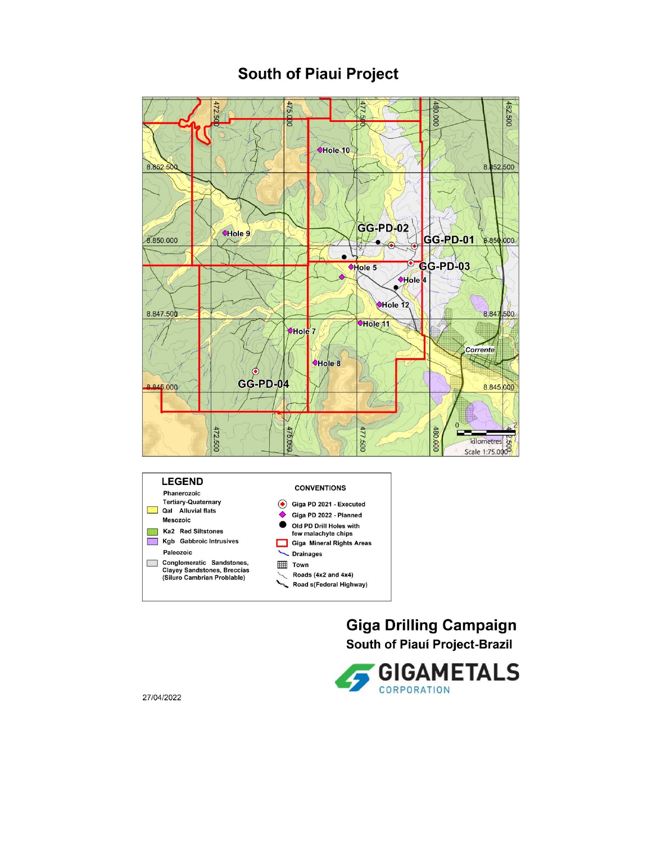## **South of Piaui Project**





**Giga Drilling Campaign South of Piauí Project-Brazil** 



27/04/2022